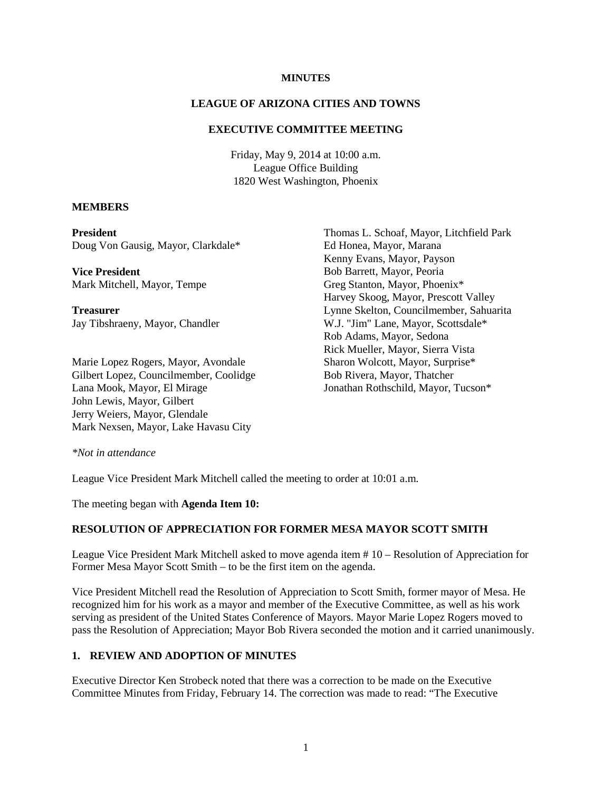## **MINUTES**

#### **LEAGUE OF ARIZONA CITIES AND TOWNS**

#### **EXECUTIVE COMMITTEE MEETING**

Friday, May 9, 2014 at 10:00 a.m. League Office Building 1820 West Washington, Phoenix

#### **MEMBERS**

**President** Doug Von Gausig, Mayor, Clarkdale\*

**Vice President** Mark Mitchell, Mayor, Tempe

**Treasurer** Jay Tibshraeny, Mayor, Chandler

Marie Lopez Rogers, Mayor, Avondale Gilbert Lopez, Councilmember, Coolidge Lana Mook, Mayor, El Mirage John Lewis, Mayor, Gilbert Jerry Weiers, Mayor, Glendale Mark Nexsen, Mayor, Lake Havasu City

Thomas L. Schoaf, Mayor, Litchfield Park Ed Honea, Mayor, Marana Kenny Evans, Mayor, Payson Bob Barrett, Mayor, Peoria Greg Stanton, Mayor, Phoenix\* Harvey Skoog, Mayor, Prescott Valley Lynne Skelton, Councilmember, Sahuarita W.J. "Jim" Lane, Mayor, Scottsdale\* Rob Adams, Mayor, Sedona Rick Mueller, Mayor, Sierra Vista Sharon Wolcott, Mayor, Surprise\* Bob Rivera, Mayor, Thatcher Jonathan Rothschild, Mayor, Tucson\*

*\*Not in attendance* 

League Vice President Mark Mitchell called the meeting to order at 10:01 a.m.

The meeting began with **Agenda Item 10:** 

#### **RESOLUTION OF APPRECIATION FOR FORMER MESA MAYOR SCOTT SMITH**

League Vice President Mark Mitchell asked to move agenda item # 10 – Resolution of Appreciation for Former Mesa Mayor Scott Smith – to be the first item on the agenda.

Vice President Mitchell read the Resolution of Appreciation to Scott Smith, former mayor of Mesa. He recognized him for his work as a mayor and member of the Executive Committee, as well as his work serving as president of the United States Conference of Mayors. Mayor Marie Lopez Rogers moved to pass the Resolution of Appreciation; Mayor Bob Rivera seconded the motion and it carried unanimously.

## **1. REVIEW AND ADOPTION OF MINUTES**

Executive Director Ken Strobeck noted that there was a correction to be made on the Executive Committee Minutes from Friday, February 14. The correction was made to read: "The Executive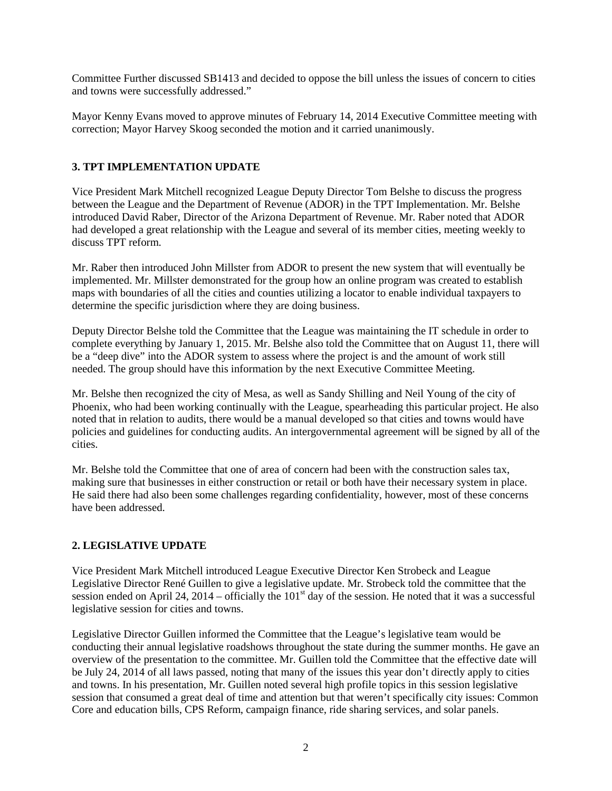Committee Further discussed SB1413 and decided to oppose the bill unless the issues of concern to cities and towns were successfully addressed."

Mayor Kenny Evans moved to approve minutes of February 14, 2014 Executive Committee meeting with correction; Mayor Harvey Skoog seconded the motion and it carried unanimously.

## **3. TPT IMPLEMENTATION UPDATE**

Vice President Mark Mitchell recognized League Deputy Director Tom Belshe to discuss the progress between the League and the Department of Revenue (ADOR) in the TPT Implementation. Mr. Belshe introduced David Raber, Director of the Arizona Department of Revenue. Mr. Raber noted that ADOR had developed a great relationship with the League and several of its member cities, meeting weekly to discuss TPT reform.

Mr. Raber then introduced John Millster from ADOR to present the new system that will eventually be implemented. Mr. Millster demonstrated for the group how an online program was created to establish maps with boundaries of all the cities and counties utilizing a locator to enable individual taxpayers to determine the specific jurisdiction where they are doing business.

Deputy Director Belshe told the Committee that the League was maintaining the IT schedule in order to complete everything by January 1, 2015. Mr. Belshe also told the Committee that on August 11, there will be a "deep dive" into the ADOR system to assess where the project is and the amount of work still needed. The group should have this information by the next Executive Committee Meeting.

Mr. Belshe then recognized the city of Mesa, as well as Sandy Shilling and Neil Young of the city of Phoenix, who had been working continually with the League, spearheading this particular project. He also noted that in relation to audits, there would be a manual developed so that cities and towns would have policies and guidelines for conducting audits. An intergovernmental agreement will be signed by all of the cities.

Mr. Belshe told the Committee that one of area of concern had been with the construction sales tax, making sure that businesses in either construction or retail or both have their necessary system in place. He said there had also been some challenges regarding confidentiality, however, most of these concerns have been addressed.

## **2. LEGISLATIVE UPDATE**

Vice President Mark Mitchell introduced League Executive Director Ken Strobeck and League Legislative Director René Guillen to give a legislative update. Mr. Strobeck told the committee that the session ended on April 24, 2014 – officially the 101<sup>st</sup> day of the session. He noted that it was a successful legislative session for cities and towns.

Legislative Director Guillen informed the Committee that the League's legislative team would be conducting their annual legislative roadshows throughout the state during the summer months. He gave an overview of the presentation to the committee. Mr. Guillen told the Committee that the effective date will be July 24, 2014 of all laws passed, noting that many of the issues this year don't directly apply to cities and towns. In his presentation, Mr. Guillen noted several high profile topics in this session legislative session that consumed a great deal of time and attention but that weren't specifically city issues: Common Core and education bills, CPS Reform, campaign finance, ride sharing services, and solar panels.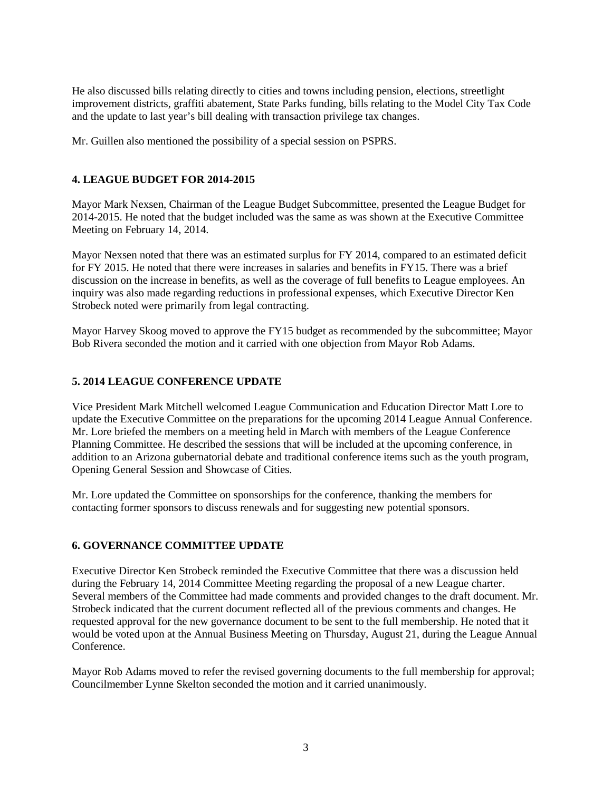He also discussed bills relating directly to cities and towns including pension, elections, streetlight improvement districts, graffiti abatement, State Parks funding, bills relating to the Model City Tax Code and the update to last year's bill dealing with transaction privilege tax changes.

Mr. Guillen also mentioned the possibility of a special session on PSPRS.

## **4. LEAGUE BUDGET FOR 2014-2015**

Mayor Mark Nexsen, Chairman of the League Budget Subcommittee, presented the League Budget for 2014-2015. He noted that the budget included was the same as was shown at the Executive Committee Meeting on February 14, 2014.

Mayor Nexsen noted that there was an estimated surplus for FY 2014, compared to an estimated deficit for FY 2015. He noted that there were increases in salaries and benefits in FY15. There was a brief discussion on the increase in benefits, as well as the coverage of full benefits to League employees. An inquiry was also made regarding reductions in professional expenses, which Executive Director Ken Strobeck noted were primarily from legal contracting.

Mayor Harvey Skoog moved to approve the FY15 budget as recommended by the subcommittee; Mayor Bob Rivera seconded the motion and it carried with one objection from Mayor Rob Adams.

### **5. 2014 LEAGUE CONFERENCE UPDATE**

Vice President Mark Mitchell welcomed League Communication and Education Director Matt Lore to update the Executive Committee on the preparations for the upcoming 2014 League Annual Conference. Mr. Lore briefed the members on a meeting held in March with members of the League Conference Planning Committee. He described the sessions that will be included at the upcoming conference, in addition to an Arizona gubernatorial debate and traditional conference items such as the youth program, Opening General Session and Showcase of Cities.

Mr. Lore updated the Committee on sponsorships for the conference, thanking the members for contacting former sponsors to discuss renewals and for suggesting new potential sponsors.

### **6. GOVERNANCE COMMITTEE UPDATE**

Executive Director Ken Strobeck reminded the Executive Committee that there was a discussion held during the February 14, 2014 Committee Meeting regarding the proposal of a new League charter. Several members of the Committee had made comments and provided changes to the draft document. Mr. Strobeck indicated that the current document reflected all of the previous comments and changes. He requested approval for the new governance document to be sent to the full membership. He noted that it would be voted upon at the Annual Business Meeting on Thursday, August 21, during the League Annual Conference.

Mayor Rob Adams moved to refer the revised governing documents to the full membership for approval; Councilmember Lynne Skelton seconded the motion and it carried unanimously.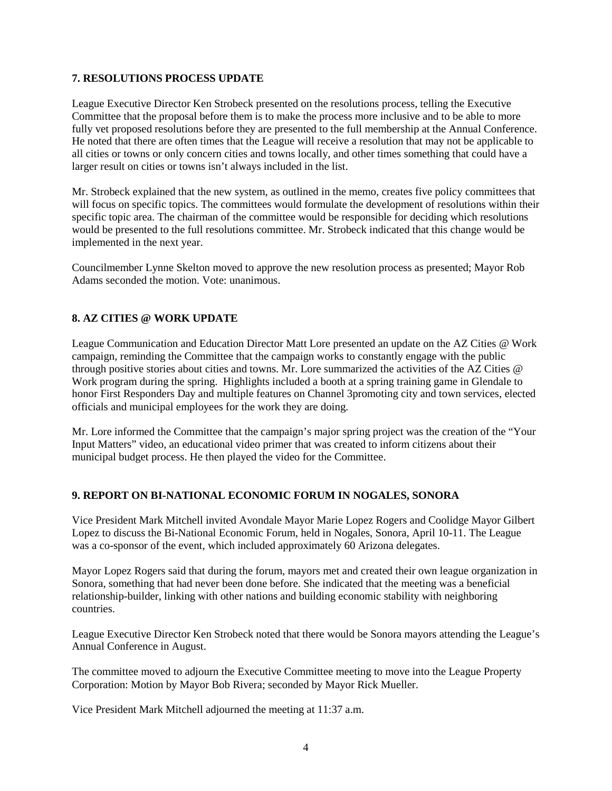### **7. RESOLUTIONS PROCESS UPDATE**

League Executive Director Ken Strobeck presented on the resolutions process, telling the Executive Committee that the proposal before them is to make the process more inclusive and to be able to more fully vet proposed resolutions before they are presented to the full membership at the Annual Conference. He noted that there are often times that the League will receive a resolution that may not be applicable to all cities or towns or only concern cities and towns locally, and other times something that could have a larger result on cities or towns isn't always included in the list.

Mr. Strobeck explained that the new system, as outlined in the memo, creates five policy committees that will focus on specific topics. The committees would formulate the development of resolutions within their specific topic area. The chairman of the committee would be responsible for deciding which resolutions would be presented to the full resolutions committee. Mr. Strobeck indicated that this change would be implemented in the next year.

Councilmember Lynne Skelton moved to approve the new resolution process as presented; Mayor Rob Adams seconded the motion. Vote: unanimous.

# **8. AZ CITIES @ WORK UPDATE**

League Communication and Education Director Matt Lore presented an update on the AZ Cities @ Work campaign, reminding the Committee that the campaign works to constantly engage with the public through positive stories about cities and towns. Mr. Lore summarized the activities of the AZ Cities @ Work program during the spring. Highlights included a booth at a spring training game in Glendale to honor First Responders Day and multiple features on Channel 3promoting city and town services, elected officials and municipal employees for the work they are doing.

Mr. Lore informed the Committee that the campaign's major spring project was the creation of the "Your Input Matters" video, an educational video primer that was created to inform citizens about their municipal budget process. He then played the video for the Committee.

## **9. REPORT ON BI-NATIONAL ECONOMIC FORUM IN NOGALES, SONORA**

Vice President Mark Mitchell invited Avondale Mayor Marie Lopez Rogers and Coolidge Mayor Gilbert Lopez to discuss the Bi-National Economic Forum, held in Nogales, Sonora, April 10-11. The League was a co-sponsor of the event, which included approximately 60 Arizona delegates.

Mayor Lopez Rogers said that during the forum, mayors met and created their own league organization in Sonora, something that had never been done before. She indicated that the meeting was a beneficial relationship-builder, linking with other nations and building economic stability with neighboring countries.

League Executive Director Ken Strobeck noted that there would be Sonora mayors attending the League's Annual Conference in August.

The committee moved to adjourn the Executive Committee meeting to move into the League Property Corporation: Motion by Mayor Bob Rivera; seconded by Mayor Rick Mueller.

Vice President Mark Mitchell adjourned the meeting at 11:37 a.m.